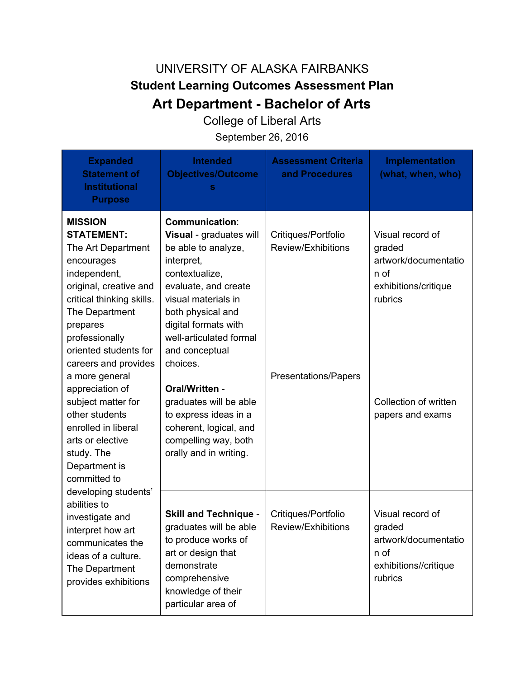## UNIVERSITY OF ALASKA FAIRBANKS **Student Learning Outcomes Assessment Plan Art Department - Bachelor of Arts**

College of Liberal Arts

September 26, 2016

| <b>Expanded</b><br><b>Statement of</b><br><b>Institutional</b><br><b>Purpose</b>                                                                                                                                                                                                                                                                                                                                                                                                                                                                                                            | <b>Intended</b><br><b>Objectives/Outcome</b><br>s                                                                                                                                                                                                                                                                                                                                                             | <b>Assessment Criteria</b><br>and Procedures                             | <b>Implementation</b><br>(what, when, who)                                                                                                 |
|---------------------------------------------------------------------------------------------------------------------------------------------------------------------------------------------------------------------------------------------------------------------------------------------------------------------------------------------------------------------------------------------------------------------------------------------------------------------------------------------------------------------------------------------------------------------------------------------|---------------------------------------------------------------------------------------------------------------------------------------------------------------------------------------------------------------------------------------------------------------------------------------------------------------------------------------------------------------------------------------------------------------|--------------------------------------------------------------------------|--------------------------------------------------------------------------------------------------------------------------------------------|
| <b>MISSION</b><br><b>STATEMENT:</b><br>The Art Department<br>encourages<br>independent,<br>original, creative and<br>critical thinking skills.<br>The Department<br>prepares<br>professionally<br>oriented students for<br>careers and provides<br>a more general<br>appreciation of<br>subject matter for<br>other students<br>enrolled in liberal<br>arts or elective<br>study. The<br>Department is<br>committed to<br>developing students'<br>abilities to<br>investigate and<br>interpret how art<br>communicates the<br>ideas of a culture.<br>The Department<br>provides exhibitions | <b>Communication:</b><br>Visual - graduates will<br>be able to analyze,<br>interpret,<br>contextualize,<br>evaluate, and create<br>visual materials in<br>both physical and<br>digital formats with<br>well-articulated formal<br>and conceptual<br>choices.<br>Oral/Written -<br>graduates will be able<br>to express ideas in a<br>coherent, logical, and<br>compelling way, both<br>orally and in writing. | Critiques/Portfolio<br>Review/Exhibitions<br><b>Presentations/Papers</b> | Visual record of<br>graded<br>artwork/documentatio<br>n of<br>exhibitions/critique<br>rubrics<br>Collection of written<br>papers and exams |
|                                                                                                                                                                                                                                                                                                                                                                                                                                                                                                                                                                                             | <b>Skill and Technique -</b><br>graduates will be able<br>to produce works of<br>art or design that<br>demonstrate<br>comprehensive<br>knowledge of their<br>particular area of                                                                                                                                                                                                                               | Critiques/Portfolio<br>Review/Exhibitions                                | Visual record of<br>graded<br>artwork/documentatio<br>n of<br>exhibitions//critique<br>rubrics                                             |